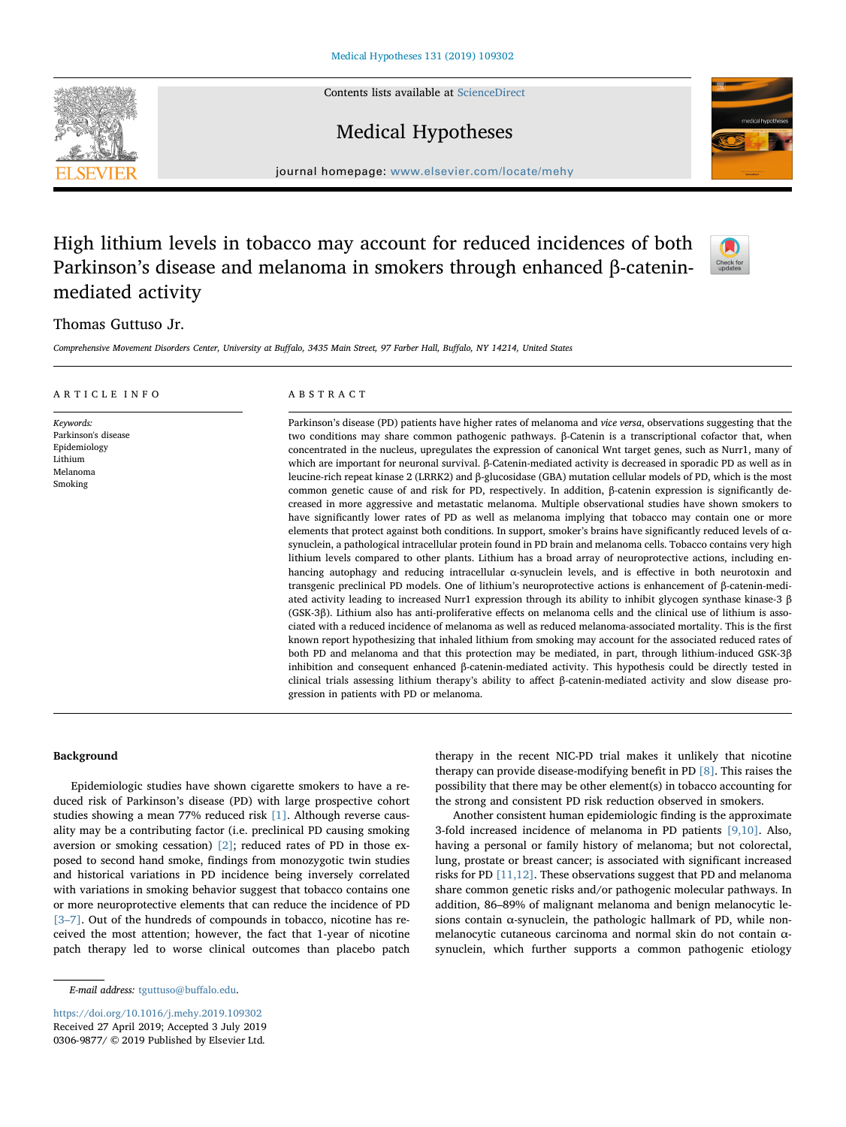Contents lists available at [ScienceDirect](http://www.sciencedirect.com/science/journal/03069877)







 $\sum_{\text{the}}$ 

journal homepage: [www.elsevier.com/locate/mehy](https://www.elsevier.com/locate/mehy)/ $\frac{1}{\sqrt{N}}$ 

# High lithium levels in tobacco may account for reduced incidences of both Parkinson's disease and melanoma in smokers through enhanced β-cateninmediated activity

# Thomas Guttuso Jr.

Comprehensive Movement Disorders Center, University at Buffalo, 3435 Main Street, 97 Farber Hall, Buffalo, NY 14214, United States

| ARTICLE INFO                                                                       | ABSTRACT                                                                                                                                                                                                                                                                                                                                                                                                                                                                                                                                                                                                                                                                                                                                                                                                                                                                                                                                                                                                                                                                                                                                                                                                                                                                                                                                                                                                                                                                                                                                                                                                                                                                                                                                                                                                                                                                                                                                                                                                                                                                                                                                                                                                                                                                                                                                                                                                                                                  |
|------------------------------------------------------------------------------------|-----------------------------------------------------------------------------------------------------------------------------------------------------------------------------------------------------------------------------------------------------------------------------------------------------------------------------------------------------------------------------------------------------------------------------------------------------------------------------------------------------------------------------------------------------------------------------------------------------------------------------------------------------------------------------------------------------------------------------------------------------------------------------------------------------------------------------------------------------------------------------------------------------------------------------------------------------------------------------------------------------------------------------------------------------------------------------------------------------------------------------------------------------------------------------------------------------------------------------------------------------------------------------------------------------------------------------------------------------------------------------------------------------------------------------------------------------------------------------------------------------------------------------------------------------------------------------------------------------------------------------------------------------------------------------------------------------------------------------------------------------------------------------------------------------------------------------------------------------------------------------------------------------------------------------------------------------------------------------------------------------------------------------------------------------------------------------------------------------------------------------------------------------------------------------------------------------------------------------------------------------------------------------------------------------------------------------------------------------------------------------------------------------------------------------------------------------------|
| Keywords:<br>Parkinson's disease<br>Epidemiology<br>Lithium<br>Melanoma<br>Smoking | Parkinson's disease (PD) patients have higher rates of melanoma and vice versa, observations suggesting that the<br>two conditions may share common pathogenic pathways. $\beta$ -Catenin is a transcriptional cofactor that, when<br>concentrated in the nucleus, upregulates the expression of canonical Wnt target genes, such as Nurr1, many of<br>which are important for neuronal survival. $\beta$ -Catenin-mediated activity is decreased in sporadic PD as well as in<br>leucine-rich repeat kinase 2 (LRRK2) and $\beta$ -glucosidase (GBA) mutation cellular models of PD, which is the most<br>common genetic cause of and risk for PD, respectively. In addition, $\beta$ -catenin expression is significantly de-<br>creased in more aggressive and metastatic melanoma. Multiple observational studies have shown smokers to<br>have significantly lower rates of PD as well as melanoma implying that tobacco may contain one or more<br>elements that protect against both conditions. In support, smoker's brains have significantly reduced levels of $\alpha$ -<br>synuclein, a pathological intracellular protein found in PD brain and melanoma cells. Tobacco contains very high<br>lithium levels compared to other plants. Lithium has a broad array of neuroprotective actions, including en-<br>hancing autophagy and reducing intracellular $\alpha$ -synuclein levels, and is effective in both neurotoxin and<br>transgenic preclinical PD models. One of lithium's neuroprotective actions is enhancement of $\beta$ -catenin-medi-<br>ated activity leading to increased Nurr1 expression through its ability to inhibit glycogen synthase kinase-3 $\beta$<br>(GSK-3β). Lithium also has anti-proliferative effects on melanoma cells and the clinical use of lithium is asso-<br>ciated with a reduced incidence of melanoma as well as reduced melanoma-associated mortality. This is the first<br>known report hypothesizing that inhaled lithium from smoking may account for the associated reduced rates of<br>both PD and melanoma and that this protection may be mediated, in part, through lithium-induced GSK-3β<br>inhibition and consequent enhanced $\beta$ -catenin-mediated activity. This hypothesis could be directly tested in<br>clinical trials assessing lithium therapy's ability to affect $\beta$ -catenin-mediated activity and slow disease pro-<br>gression in patients with PD or melanoma. |

## Background

Epidemiologic studies have shown cigarette smokers to have a reduced risk of Parkinson's disease (PD) with large prospective cohort studies showing a mean 77% reduced risk [\[1\]](#page-3-0). Although reverse causality may be a contributing factor (i.e. preclinical PD causing smoking aversion or smoking cessation) [\[2\]](#page-3-1); reduced rates of PD in those exposed to second hand smoke, findings from monozygotic twin studies and historical variations in PD incidence being inversely correlated with variations in smoking behavior suggest that tobacco contains one or more neuroprotective elements that can reduce the incidence of PD [3-[7\]](#page-3-2). Out of the hundreds of compounds in tobacco, nicotine has received the most attention; however, the fact that 1-year of nicotine patch therapy led to worse clinical outcomes than placebo patch therapy in the recent NIC-PD trial makes it unlikely that nicotine therapy can provide disease-modifying benefit in PD [\[8\]](#page-3-3). This raises the possibility that there may be other element(s) in tobacco accounting for the strong and consistent PD risk reduction observed in smokers.

Another consistent human epidemiologic finding is the approximate 3-fold increased incidence of melanoma in PD patients [\[9,10\]](#page-3-4). Also, having a personal or family history of melanoma; but not colorectal, lung, prostate or breast cancer; is associated with significant increased risks for PD  $[11,12]$ . These observations suggest that PD and melanoma share common genetic risks and/or pathogenic molecular pathways. In addition, 86–89% of malignant melanoma and benign melanocytic lesions contain α-synuclein, the pathologic hallmark of PD, while nonmelanocytic cutaneous carcinoma and normal skin do not contain αsynuclein, which further supports a common pathogenic etiology

E-mail address: [tguttuso@bu](mailto:tguttuso@buffalo.edu)ffalo.edu.

<https://doi.org/10.1016/j.mehy.2019.109302> Received 27 April 2019; Accepted 3 July 2019 0306-9877/ © 2019 Published by Elsevier Ltd.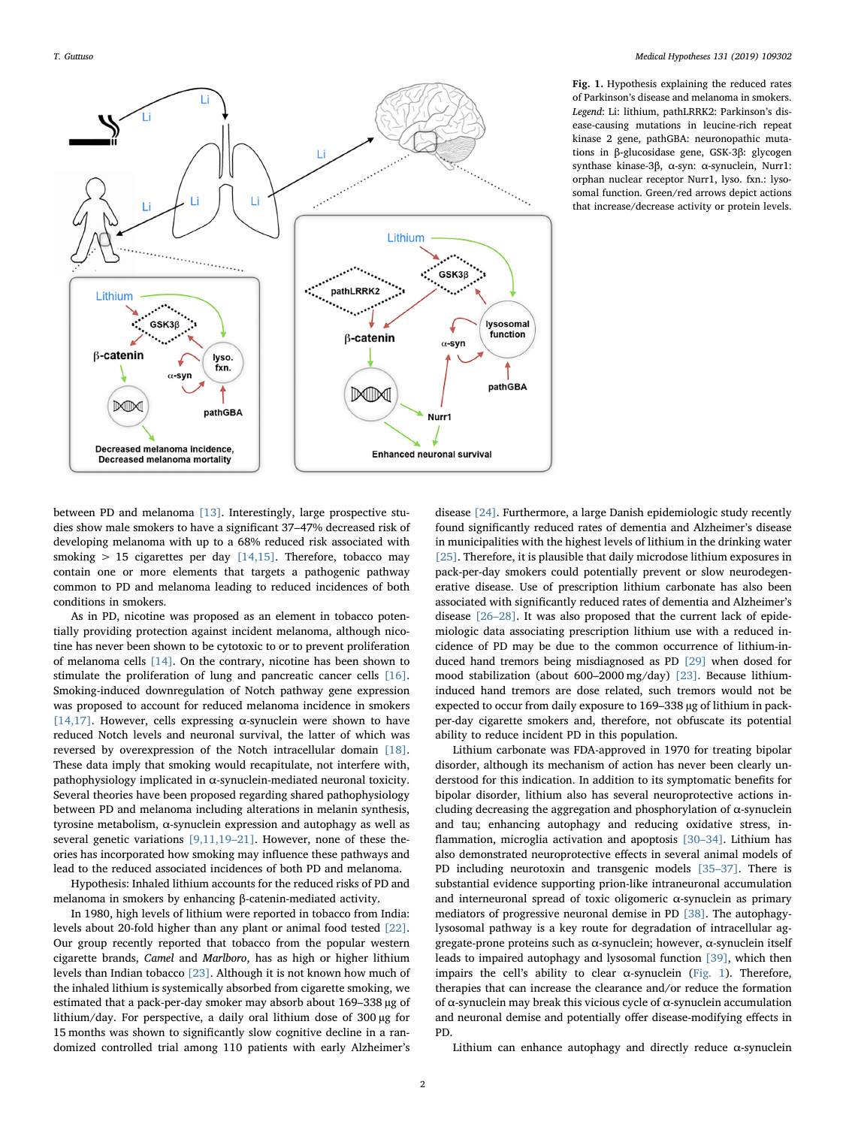<span id="page-1-0"></span>

Fig. 1. Hypothesis explaining the reduced rates of Parkinson's disease and melanoma in smokers. Legend: Li: lithium, pathLRRK2: Parkinson's disease-causing mutations in leucine-rich repeat kinase 2 gene, pathGBA: neuronopathic mutations in β-glucosidase gene, GSK-3β: glycogen synthase kinase-3β, α-syn: α-synuclein, Nurr1: orphan nuclear receptor Nurr1, lyso. fxn.: lysosomal function. Green/red arrows depict actions that increase/decrease activity or protein levels.

between PD and melanoma [\[13\].](#page-3-6) Interestingly, large prospective studies show male smokers to have a significant 37–47% decreased risk of developing melanoma with up to a 68% reduced risk associated with smoking  $> 15$  cigarettes per day [\[14,15\].](#page-3-7) Therefore, tobacco may contain one or more elements that targets a pathogenic pathway common to PD and melanoma leading to reduced incidences of both conditions in smokers.

As in PD, nicotine was proposed as an element in tobacco potentially providing protection against incident melanoma, although nicotine has never been shown to be cytotoxic to or to prevent proliferation of melanoma cells [\[14\].](#page-3-7) On the contrary, nicotine has been shown to stimulate the proliferation of lung and pancreatic cancer cells [\[16\]](#page-3-8). Smoking-induced downregulation of Notch pathway gene expression was proposed to account for reduced melanoma incidence in smokers [\[14,17\].](#page-3-7) However, cells expressing  $\alpha$ -synuclein were shown to have reduced Notch levels and neuronal survival, the latter of which was reversed by overexpression of the Notch intracellular domain [\[18\]](#page-3-9). These data imply that smoking would recapitulate, not interfere with, pathophysiology implicated in α-synuclein-mediated neuronal toxicity. Several theories have been proposed regarding shared pathophysiology between PD and melanoma including alterations in melanin synthesis, tyrosine metabolism, α-synuclein expression and autophagy as well as several genetic variations [\[9,11,19](#page-3-4)–21]. However, none of these theories has incorporated how smoking may influence these pathways and lead to the reduced associated incidences of both PD and melanoma.

Hypothesis: Inhaled lithium accounts for the reduced risks of PD and melanoma in smokers by enhancing β-catenin-mediated activity.

In 1980, high levels of lithium were reported in tobacco from India: levels about 20-fold higher than any plant or animal food tested [\[22\]](#page-3-10). Our group recently reported that tobacco from the popular western cigarette brands, Camel and Marlboro, has as high or higher lithium levels than Indian tobacco [\[23\]](#page-3-11). Although it is not known how much of the inhaled lithium is systemically absorbed from cigarette smoking, we estimated that a pack-per-day smoker may absorb about 169–338 µg of lithium/day. For perspective, a daily oral lithium dose of 300 µg for 15 months was shown to significantly slow cognitive decline in a randomized controlled trial among 110 patients with early Alzheimer's disease [\[24\].](#page-3-12) Furthermore, a large Danish epidemiologic study recently found significantly reduced rates of dementia and Alzheimer's disease in municipalities with the highest levels of lithium in the drinking water [\[25\]](#page-3-13). Therefore, it is plausible that daily microdose lithium exposures in pack-per-day smokers could potentially prevent or slow neurodegenerative disease. Use of prescription lithium carbonate has also been associated with significantly reduced rates of dementia and Alzheimer's disease [26–[28\].](#page-3-14) It was also proposed that the current lack of epidemiologic data associating prescription lithium use with a reduced incidence of PD may be due to the common occurrence of lithium-induced hand tremors being misdiagnosed as PD [\[29\]](#page-3-15) when dosed for mood stabilization (about 600–2000 mg/day) [\[23\]](#page-3-11). Because lithiuminduced hand tremors are dose related, such tremors would not be expected to occur from daily exposure to 169–338 µg of lithium in packper-day cigarette smokers and, therefore, not obfuscate its potential ability to reduce incident PD in this population.

Lithium carbonate was FDA-approved in 1970 for treating bipolar disorder, although its mechanism of action has never been clearly understood for this indication. In addition to its symptomatic benefits for bipolar disorder, lithium also has several neuroprotective actions including decreasing the aggregation and phosphorylation of  $\alpha$ -synuclein and tau; enhancing autophagy and reducing oxidative stress, inflammation, microglia activation and apoptosis [\[30](#page-3-16)–34]. Lithium has also demonstrated neuroprotective effects in several animal models of PD including neurotoxin and transgenic models [\[35](#page-3-17)–37]. There is substantial evidence supporting prion-like intraneuronal accumulation and interneuronal spread of toxic oligomeric  $\alpha$ -synuclein as primary mediators of progressive neuronal demise in PD [\[38\].](#page-3-18) The autophagylysosomal pathway is a key route for degradation of intracellular aggregate-prone proteins such as α-synuclein; however, α-synuclein itself leads to impaired autophagy and lysosomal function [\[39\],](#page-3-19) which then impairs the cell's ability to clear  $\alpha$ -synuclein [\(Fig. 1\)](#page-1-0). Therefore, therapies that can increase the clearance and/or reduce the formation of α-synuclein may break this vicious cycle of α-synuclein accumulation and neuronal demise and potentially offer disease-modifying effects in PD.

Lithium can enhance autophagy and directly reduce  $\alpha$ -synuclein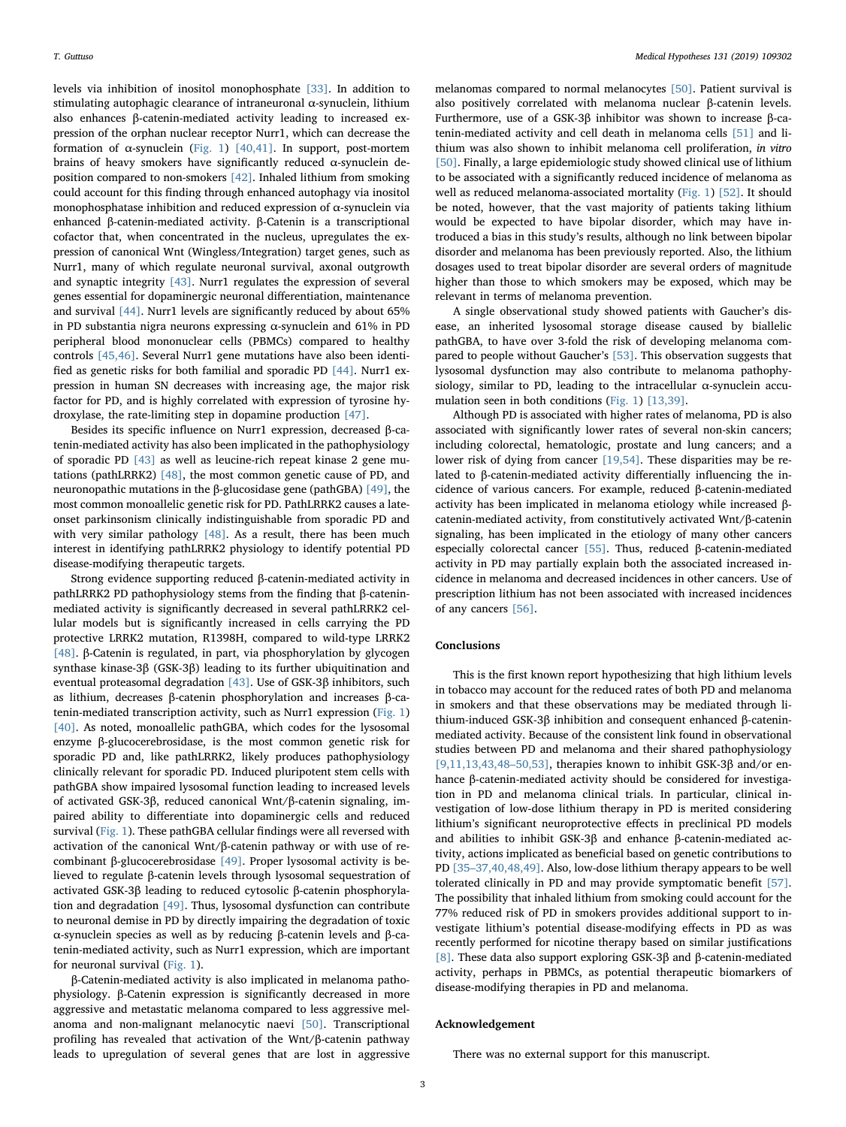levels via inhibition of inositol monophosphate [\[33\]](#page-3-20). In addition to stimulating autophagic clearance of intraneuronal α-synuclein, lithium also enhances β-catenin-mediated activity leading to increased expression of the orphan nuclear receptor Nurr1, which can decrease the formation of α-synuclein [\(Fig. 1](#page-1-0)) [\[40,41\].](#page-3-21) In support, post-mortem brains of heavy smokers have significantly reduced α-synuclein deposition compared to non-smokers [\[42\].](#page-3-22) Inhaled lithium from smoking could account for this finding through enhanced autophagy via inositol monophosphatase inhibition and reduced expression of α-synuclein via enhanced β-catenin-mediated activity. β-Catenin is a transcriptional cofactor that, when concentrated in the nucleus, upregulates the expression of canonical Wnt (Wingless/Integration) target genes, such as Nurr1, many of which regulate neuronal survival, axonal outgrowth and synaptic integrity [\[43\]](#page-3-23). Nurr1 regulates the expression of several genes essential for dopaminergic neuronal differentiation, maintenance and survival [\[44\]](#page-3-24). Nurr1 levels are significantly reduced by about 65% in PD substantia nigra neurons expressing α-synuclein and 61% in PD peripheral blood mononuclear cells (PBMCs) compared to healthy controls [\[45,46\].](#page-3-25) Several Nurr1 gene mutations have also been identified as genetic risks for both familial and sporadic PD [\[44\]](#page-3-24). Nurr1 expression in human SN decreases with increasing age, the major risk factor for PD, and is highly correlated with expression of tyrosine hydroxylase, the rate-limiting step in dopamine production [\[47\].](#page-3-26)

Besides its specific influence on Nurr1 expression, decreased β-catenin-mediated activity has also been implicated in the pathophysiology of sporadic PD [\[43\]](#page-3-23) as well as leucine-rich repeat kinase 2 gene mutations (pathLRRK2) [\[48\],](#page-3-27) the most common genetic cause of PD, and neuronopathic mutations in the β-glucosidase gene (pathGBA) [\[49\]](#page-3-28), the most common monoallelic genetic risk for PD. PathLRRK2 causes a lateonset parkinsonism clinically indistinguishable from sporadic PD and with very similar pathology [\[48\]](#page-3-27). As a result, there has been much interest in identifying pathLRRK2 physiology to identify potential PD disease-modifying therapeutic targets.

Strong evidence supporting reduced β-catenin-mediated activity in pathLRRK2 PD pathophysiology stems from the finding that β-cateninmediated activity is significantly decreased in several pathLRRK2 cellular models but is significantly increased in cells carrying the PD protective LRRK2 mutation, R1398H, compared to wild-type LRRK2 [\[48\]](#page-3-27). β-Catenin is regulated, in part, via phosphorylation by glycogen synthase kinase-3β (GSK-3β) leading to its further ubiquitination and eventual proteasomal degradation [\[43\]](#page-3-23). Use of GSK-3β inhibitors, such as lithium, decreases β-catenin phosphorylation and increases β-catenin-mediated transcription activity, such as Nurr1 expression ([Fig. 1\)](#page-1-0) [\[40\]](#page-3-21). As noted, monoallelic pathGBA, which codes for the lysosomal enzyme β-glucocerebrosidase, is the most common genetic risk for sporadic PD and, like pathLRRK2, likely produces pathophysiology clinically relevant for sporadic PD. Induced pluripotent stem cells with pathGBA show impaired lysosomal function leading to increased levels of activated GSK-3β, reduced canonical Wnt/β-catenin signaling, impaired ability to differentiate into dopaminergic cells and reduced survival ([Fig. 1](#page-1-0)). These pathGBA cellular findings were all reversed with activation of the canonical Wnt/β-catenin pathway or with use of recombinant β-glucocerebrosidase [\[49\].](#page-3-28) Proper lysosomal activity is believed to regulate β-catenin levels through lysosomal sequestration of activated GSK-3β leading to reduced cytosolic β-catenin phosphorylation and degradation [\[49\]](#page-3-28). Thus, lysosomal dysfunction can contribute to neuronal demise in PD by directly impairing the degradation of toxic α-synuclein species as well as by reducing β-catenin levels and β-catenin-mediated activity, such as Nurr1 expression, which are important for neuronal survival [\(Fig. 1](#page-1-0)).

β-Catenin-mediated activity is also implicated in melanoma pathophysiology. β-Catenin expression is significantly decreased in more aggressive and metastatic melanoma compared to less aggressive melanoma and non-malignant melanocytic naevi [\[50\].](#page-3-29) Transcriptional profiling has revealed that activation of the Wnt/β-catenin pathway leads to upregulation of several genes that are lost in aggressive

melanomas compared to normal melanocytes [\[50\].](#page-3-29) Patient survival is also positively correlated with melanoma nuclear β-catenin levels. Furthermore, use of a GSK-3β inhibitor was shown to increase β-catenin-mediated activity and cell death in melanoma cells [\[51\]](#page-3-30) and lithium was also shown to inhibit melanoma cell proliferation, in vitro [\[50\]](#page-3-29). Finally, a large epidemiologic study showed clinical use of lithium to be associated with a significantly reduced incidence of melanoma as well as reduced melanoma-associated mortality [\(Fig. 1](#page-1-0)) [\[52\].](#page-3-31) It should be noted, however, that the vast majority of patients taking lithium would be expected to have bipolar disorder, which may have introduced a bias in this study's results, although no link between bipolar disorder and melanoma has been previously reported. Also, the lithium dosages used to treat bipolar disorder are several orders of magnitude higher than those to which smokers may be exposed, which may be relevant in terms of melanoma prevention.

A single observational study showed patients with Gaucher's disease, an inherited lysosomal storage disease caused by biallelic pathGBA, to have over 3-fold the risk of developing melanoma compared to people without Gaucher's [\[53\].](#page-3-32) This observation suggests that lysosomal dysfunction may also contribute to melanoma pathophysiology, similar to PD, leading to the intracellular  $\alpha$ -synuclein accumulation seen in both conditions ([Fig. 1\)](#page-1-0) [\[13,39\].](#page-3-6)

Although PD is associated with higher rates of melanoma, PD is also associated with significantly lower rates of several non-skin cancers; including colorectal, hematologic, prostate and lung cancers; and a lower risk of dying from cancer [\[19,54\].](#page-3-33) These disparities may be related to β-catenin-mediated activity differentially influencing the incidence of various cancers. For example, reduced β-catenin-mediated activity has been implicated in melanoma etiology while increased βcatenin-mediated activity, from constitutively activated Wnt/β-catenin signaling, has been implicated in the etiology of many other cancers especially colorectal cancer [\[55\]](#page-3-34). Thus, reduced β-catenin-mediated activity in PD may partially explain both the associated increased incidence in melanoma and decreased incidences in other cancers. Use of prescription lithium has not been associated with increased incidences of any cancers [\[56\]](#page-3-35).

#### Conclusions

This is the first known report hypothesizing that high lithium levels in tobacco may account for the reduced rates of both PD and melanoma in smokers and that these observations may be mediated through lithium-induced GSK-3β inhibition and consequent enhanced β-cateninmediated activity. Because of the consistent link found in observational studies between PD and melanoma and their shared pathophysiology [\[9,11,13,43,48](#page-3-4)–50,53], therapies known to inhibit GSK-3β and/or enhance β-catenin-mediated activity should be considered for investigation in PD and melanoma clinical trials. In particular, clinical investigation of low-dose lithium therapy in PD is merited considering lithium's significant neuroprotective effects in preclinical PD models and abilities to inhibit GSK-3β and enhance β-catenin-mediated activity, actions implicated as beneficial based on genetic contributions to PD [35–[37,40,48,49\].](#page-3-17) Also, low-dose lithium therapy appears to be well tolerated clinically in PD and may provide symptomatic benefit [\[57\]](#page-3-36). The possibility that inhaled lithium from smoking could account for the 77% reduced risk of PD in smokers provides additional support to investigate lithium's potential disease-modifying effects in PD as was recently performed for nicotine therapy based on similar justifications [\[8\].](#page-3-3) These data also support exploring GSK-3β and β-catenin-mediated activity, perhaps in PBMCs, as potential therapeutic biomarkers of disease-modifying therapies in PD and melanoma.

### Acknowledgement

There was no external support for this manuscript.